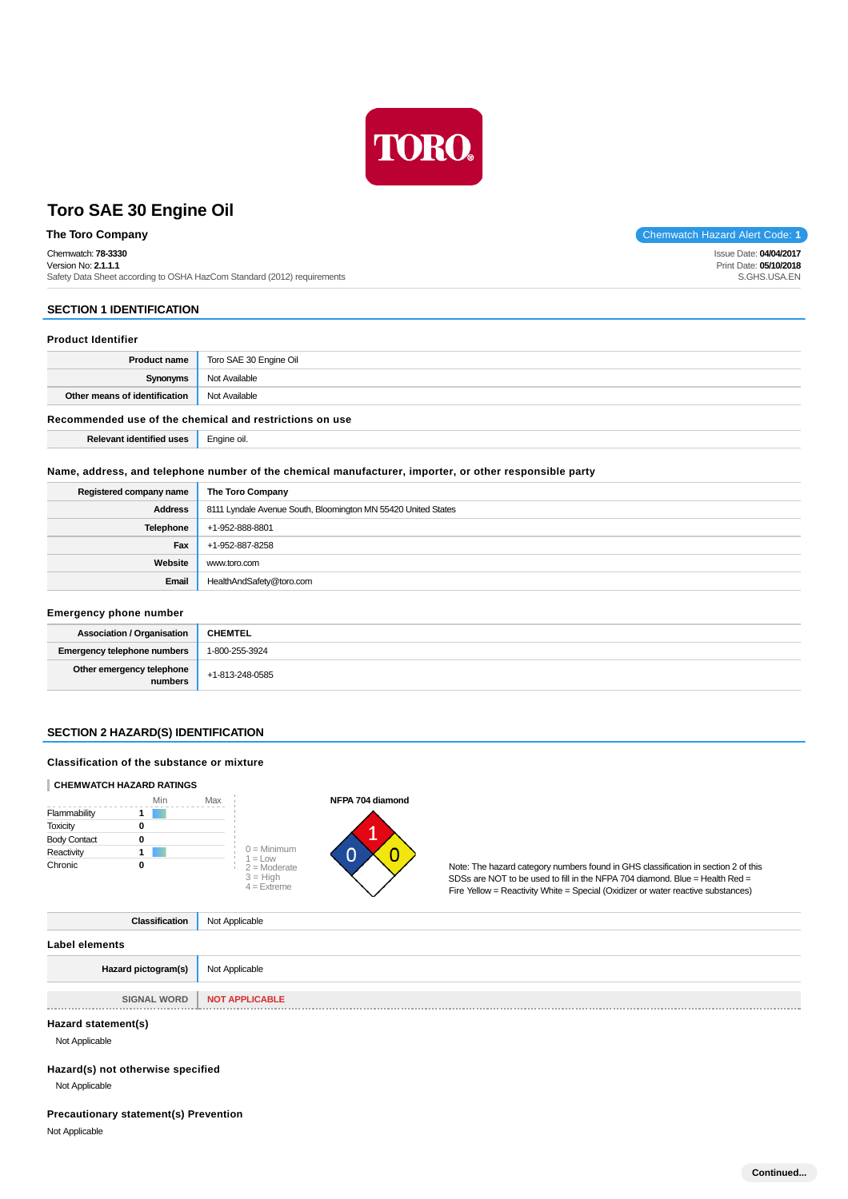

## **The Toro Company** Chemwatch Hazard Alert Code: 1

Chemwatch: **78-3330**

Version No: **2.1.1.1**

Safety Data Sheet according to OSHA HazCom Standard (2012) requirements

## **SECTION 1 IDENTIFICATION**

## **Product Identifier**

|                                                         | <b>Product name</b>   Toro SAE 30 Engine Oil |  |  |  |
|---------------------------------------------------------|----------------------------------------------|--|--|--|
| Synonyms                                                | Not Available                                |  |  |  |
| Other means of identification                           | Not Available                                |  |  |  |
| Recommended use of the chemical and restrictions on use |                                              |  |  |  |
| <b>Relevant identified uses</b>                         | Engine oil.                                  |  |  |  |

### **Name, address, and telephone number of the chemical manufacturer, importer, or other responsible party**

| Registered company name | The Toro Company                                              |
|-------------------------|---------------------------------------------------------------|
| <b>Address</b>          | 8111 Lyndale Avenue South, Bloomington MN 55420 United States |
| <b>Telephone</b>        | +1-952-888-8801                                               |
| Fax                     | +1-952-887-8258                                               |
| Website                 | www.toro.com                                                  |
| Email                   | HealthAndSafety@toro.com                                      |

### **Emergency phone number**

| <b>Association / Organisation</b>    | <b>CHEMTEL</b>  |
|--------------------------------------|-----------------|
| <b>Emergency telephone numbers</b>   | 1-800-255-3924  |
| Other emergency telephone<br>numbers | +1-813-248-0585 |

### **SECTION 2 HAZARD(S) IDENTIFICATION**

### **Classification of the substance or mixture**

### **CHEMWATCH HAZARD RATINGS**





Note: The hazard category numbers found in GHS classification in section 2 of this SDSs are NOT to be used to fill in the NFPA 704 diamond. Blue = Health Red = Fire Yellow = Reactivity White = Special (Oxidizer or water reactive substances)

**Classification** Not Applicable

**Label elements**

| Hazard pictogram(s) | Not Applicable        |
|---------------------|-----------------------|
|                     |                       |
| <b>SIGNAL WORD</b>  | <b>NOT APPLICABLE</b> |

#### **Hazard statement(s)**

Not Applicable

## **Hazard(s) not otherwise specified**

Not Applicable

## **Precautionary statement(s) Prevention**

Not Applicable

Issue Date: **04/04/2017** Print Date: **05/10/2018** S.GHS.USA.EN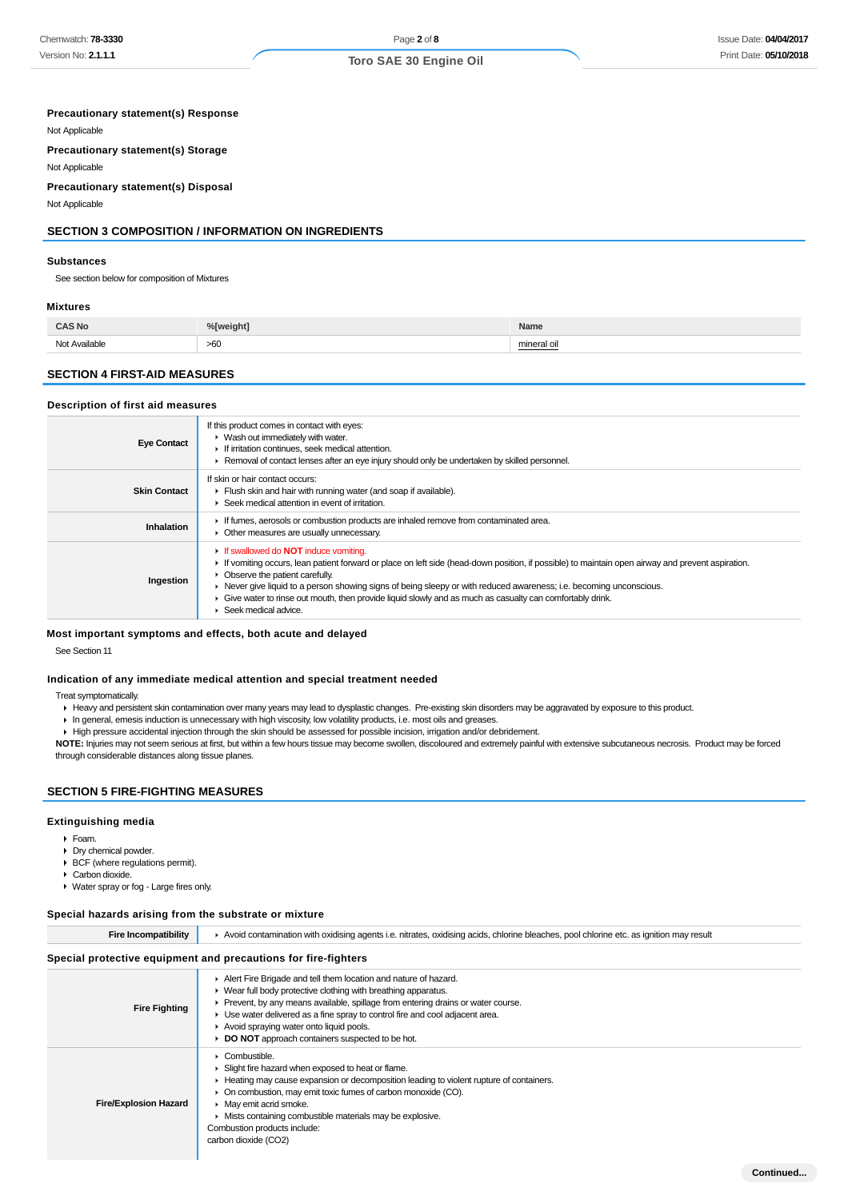## Page **2** of **8**

### **Toro SAE 30 Engine Oil**

#### **Precautionary statement(s) Response**

Not Applicable

**Precautionary statement(s) Storage**

Not Applicable

### **Precautionary statement(s) Disposal**

Not Applicable

## **SECTION 3 COMPOSITION / INFORMATION ON INGREDIENTS**

#### **Substances**

See section below for composition of Mixtures

#### **Mixtures**

| `AS No<br>. |     | Name |  |  |
|-------------|-----|------|--|--|
| سما<br>.    | >60 |      |  |  |

### **SECTION 4 FIRST-AID MEASURES**

### **Description of first aid measures**

| <b>Eye Contact</b>  | If this product comes in contact with eyes:<br>$\blacktriangleright$ Wash out immediately with water.<br>If irritation continues, seek medical attention.<br>▶ Removal of contact lenses after an eye injury should only be undertaken by skilled personnel.                                                                                                                                                                                                                                                         |
|---------------------|----------------------------------------------------------------------------------------------------------------------------------------------------------------------------------------------------------------------------------------------------------------------------------------------------------------------------------------------------------------------------------------------------------------------------------------------------------------------------------------------------------------------|
| <b>Skin Contact</b> | If skin or hair contact occurs:<br>Flush skin and hair with running water (and soap if available).<br>▶ Seek medical attention in event of irritation.                                                                                                                                                                                                                                                                                                                                                               |
| Inhalation          | If fumes, aerosols or combustion products are inhaled remove from contaminated area.<br>• Other measures are usually unnecessary.                                                                                                                                                                                                                                                                                                                                                                                    |
| Ingestion           | <b>If swallowed do NOT induce vomiting.</b><br>If vomiting occurs, lean patient forward or place on left side (head-down position, if possible) to maintain open airway and prevent aspiration.<br>• Observe the patient carefully.<br>► Never give liquid to a person showing signs of being sleepy or with reduced awareness; i.e. becoming unconscious.<br>Give water to rinse out mouth, then provide liquid slowly and as much as casualty can comfortably drink.<br>$\blacktriangleright$ Seek medical advice. |

### **Most important symptoms and effects, both acute and delayed**

See Section 11

#### **Indication of any immediate medical attention and special treatment needed**

Treat symptomatically.

- Heavy and persistent skin contamination over many years may lead to dysplastic changes. Pre-existing skin disorders may be aggravated by exposure to this product.
- In general, emesis induction is unnecessary with high viscosity, low volatility products, i.e. most oils and greases.
- High pressure accidental injection through the skin should be assessed for possible incision, irrigation and/or debridement.
- **NOTE:** Injuries may not seem serious at first, but within a few hours tissue may become swollen, discoloured and extremely painful with extensive subcutaneous necrosis. Product may be forced through considerable distances along tissue planes.

### **SECTION 5 FIRE-FIGHTING MEASURES**

#### **Extinguishing media**

- $F<sub>o</sub>$ am.
- Dry chemical powder.
- BCF (where regulations permit).
- Carbon dioxide. Water spray or fog - Large fires only.

#### **Special hazards arising from the substrate or mixture**

| <b>Fire Incompatibility</b>                                    | Avoid contamination with oxidising agents i.e. nitrates, oxidising acids, chlorine bleaches, pool chlorine etc. as ignition may result                                                                                                                                                                                                                                                                |  |  |  |  |  |
|----------------------------------------------------------------|-------------------------------------------------------------------------------------------------------------------------------------------------------------------------------------------------------------------------------------------------------------------------------------------------------------------------------------------------------------------------------------------------------|--|--|--|--|--|
| Special protective equipment and precautions for fire-fighters |                                                                                                                                                                                                                                                                                                                                                                                                       |  |  |  |  |  |
| <b>Fire Fighting</b>                                           | Alert Fire Brigade and tell them location and nature of hazard.<br>▶ Wear full body protective clothing with breathing apparatus.<br>► Prevent, by any means available, spillage from entering drains or water course.<br>► Use water delivered as a fine spray to control fire and cool adjacent area.<br>Avoid spraying water onto liquid pools.<br>DO NOT approach containers suspected to be hot. |  |  |  |  |  |
| <b>Fire/Explosion Hazard</b>                                   | • Combustible.<br>• Slight fire hazard when exposed to heat or flame.<br>► Heating may cause expansion or decomposition leading to violent rupture of containers.<br>• On combustion, may emit toxic fumes of carbon monoxide (CO).<br>• May emit acrid smoke.<br>• Mists containing combustible materials may be explosive.<br>Combustion products include:<br>carbon dioxide (CO2)                  |  |  |  |  |  |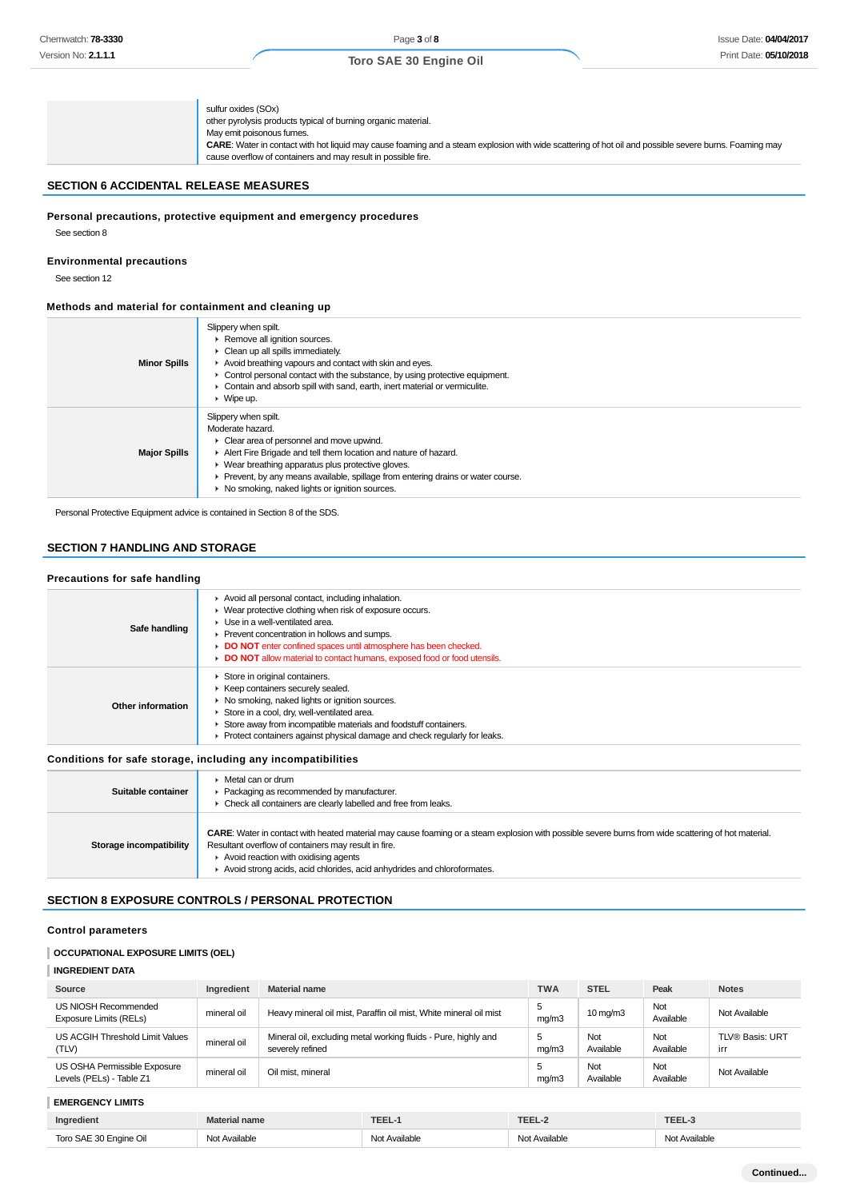| sulfur oxides (SOx)<br>other pyrolysis products typical of burning organic material.<br>May emit poisonous fumes.<br>CARE: Water in contact with hot liquid may cause foaming and a steam explosion with wide scattering of hot oil and possible severe burns. Foaming may<br>cause overflow of containers and may result in possible fire. |
|---------------------------------------------------------------------------------------------------------------------------------------------------------------------------------------------------------------------------------------------------------------------------------------------------------------------------------------------|
|---------------------------------------------------------------------------------------------------------------------------------------------------------------------------------------------------------------------------------------------------------------------------------------------------------------------------------------------|

## **SECTION 6 ACCIDENTAL RELEASE MEASURES**

### **Personal precautions, protective equipment and emergency procedures**

See section 8

## **Environmental precautions**

See section 12

### **Methods and material for containment and cleaning up**

| <b>Minor Spills</b> | Slippery when spilt.<br>Remove all ignition sources.<br>$\triangleright$ Clean up all spills immediately.<br>Avoid breathing vapours and contact with skin and eyes.<br>• Control personal contact with the substance, by using protective equipment.<br>Contain and absorb spill with sand, earth, inert material or vermiculite.<br>$\triangleright$ Wipe up.        |
|---------------------|------------------------------------------------------------------------------------------------------------------------------------------------------------------------------------------------------------------------------------------------------------------------------------------------------------------------------------------------------------------------|
| <b>Major Spills</b> | Slippery when spilt.<br>Moderate hazard.<br>$\triangleright$ Clear area of personnel and move upwind.<br>Alert Fire Brigade and tell them location and nature of hazard.<br>• Wear breathing apparatus plus protective gloves.<br>• Prevent, by any means available, spillage from entering drains or water course.<br>▶ No smoking, naked lights or ignition sources. |

Personal Protective Equipment advice is contained in Section 8 of the SDS.

## **SECTION 7 HANDLING AND STORAGE**

### **Precautions for safe handling**

| Safe handling     | Avoid all personal contact, including inhalation.<br>• Wear protective clothing when risk of exposure occurs.<br>$\blacktriangleright$ Use in a well-ventilated area.<br>▶ Prevent concentration in hollows and sumps.<br>DO NOT enter confined spaces until atmosphere has been checked.<br>DO NOT allow material to contact humans, exposed food or food utensils. |
|-------------------|----------------------------------------------------------------------------------------------------------------------------------------------------------------------------------------------------------------------------------------------------------------------------------------------------------------------------------------------------------------------|
| Other information | Store in original containers.<br>▶ Keep containers securely sealed.<br>▶ No smoking, naked lights or ignition sources.<br>Store in a cool, dry, well-ventilated area.<br>Store away from incompatible materials and foodstuff containers.<br>$\triangleright$ Protect containers against physical damage and check regularly for leaks.                              |

### **Conditions for safe storage, including any incompatibilities**

| Suitable container      | • Metal can or drum<br>▶ Packaging as recommended by manufacturer.<br>• Check all containers are clearly labelled and free from leaks.                                                                                                                                                                                                                 |
|-------------------------|--------------------------------------------------------------------------------------------------------------------------------------------------------------------------------------------------------------------------------------------------------------------------------------------------------------------------------------------------------|
| Storage incompatibility | <b>CARE:</b> Water in contact with heated material may cause foaming or a steam explosion with possible severe burns from wide scattering of hot material.<br>Resultant overflow of containers may result in fire.<br>$\triangleright$ Avoid reaction with oxidising agents<br>Avoid strong acids, acid chlorides, acid anhydrides and chloroformates. |

### **SECTION 8 EXPOSURE CONTROLS / PERSONAL PROTECTION**

### **Control parameters**

## **OCCUPATIONAL EXPOSURE LIMITS (OEL)**

| <b>INGREDIENT DATA</b>                                   |             |                                                                                    |            |                   |                  |                               |
|----------------------------------------------------------|-------------|------------------------------------------------------------------------------------|------------|-------------------|------------------|-------------------------------|
| Source                                                   | Ingredient  | <b>Material name</b>                                                               | <b>TWA</b> | <b>STEL</b>       | Peak             | <b>Notes</b>                  |
| US NIOSH Recommended<br>Exposure Limits (RELs)           | mineral oil | Heavy mineral oil mist, Paraffin oil mist, White mineral oil mist                  | 5<br>mq/m3 | $10 \text{ mg/m}$ | Not<br>Available | Not Available                 |
| US ACGIH Threshold Limit Values<br>(TLV)                 | mineral oil | Mineral oil, excluding metal working fluids - Pure, highly and<br>severely refined | 5<br>mq/m3 | Not<br>Available  | Not<br>Available | <b>TLV® Basis: URT</b><br>irr |
| US OSHA Permissible Exposure<br>Levels (PELs) - Table Z1 | mineral oil | Oil mist, mineral                                                                  | mq/m3      | Not<br>Available  | Not<br>Available | Not Available                 |

## **EMERGENCY LIMITS Ingredient Material name TEEL-1 TEEL-2 TEEL-3** Toro SAE 30 Engine Oil Not Available Not Available Not Available Not Available Not Available Not Available Not Available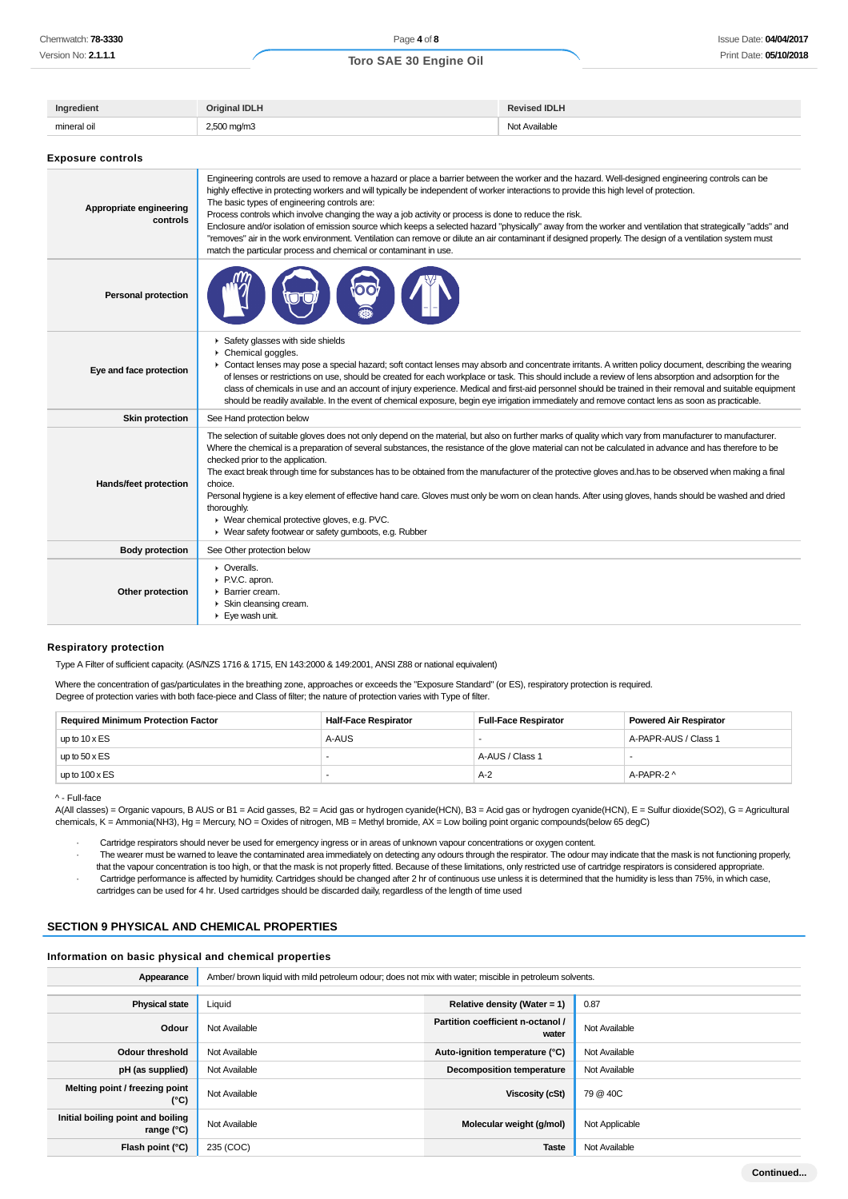| Ingredient                          | <b>Original IDLH</b>                                                                                                                                                                                                                                                                                                                                                                                                                                                                                                                                                                                                                                                                                                                                                                                                                                  | <b>Revised IDLH</b> |
|-------------------------------------|-------------------------------------------------------------------------------------------------------------------------------------------------------------------------------------------------------------------------------------------------------------------------------------------------------------------------------------------------------------------------------------------------------------------------------------------------------------------------------------------------------------------------------------------------------------------------------------------------------------------------------------------------------------------------------------------------------------------------------------------------------------------------------------------------------------------------------------------------------|---------------------|
| mineral oil                         | 2,500 mg/m3                                                                                                                                                                                                                                                                                                                                                                                                                                                                                                                                                                                                                                                                                                                                                                                                                                           | Not Available       |
| <b>Exposure controls</b>            |                                                                                                                                                                                                                                                                                                                                                                                                                                                                                                                                                                                                                                                                                                                                                                                                                                                       |                     |
| Appropriate engineering<br>controls | Engineering controls are used to remove a hazard or place a barrier between the worker and the hazard. Well-designed engineering controls can be<br>highly effective in protecting workers and will typically be independent of worker interactions to provide this high level of protection.<br>The basic types of engineering controls are:<br>Process controls which involve changing the way a job activity or process is done to reduce the risk.<br>Enclosure and/or isolation of emission source which keeps a selected hazard "physically" away from the worker and ventilation that strategically "adds" and<br>"removes" air in the work environment. Ventilation can remove or dilute an air contaminant if designed properly. The design of a ventilation system must<br>match the particular process and chemical or contaminant in use. |                     |
| <b>Personal protection</b>          |                                                                                                                                                                                                                                                                                                                                                                                                                                                                                                                                                                                                                                                                                                                                                                                                                                                       |                     |
| Eye and face protection             | Safety glasses with side shields<br>Chemical goggles.<br>• Contact lenses may pose a special hazard; soft contact lenses may absorb and concentrate irritants. A written policy document, describing the wearing<br>of lenses or restrictions on use, should be created for each workplace or task. This should include a review of lens absorption and adsorption for the<br>class of chemicals in use and an account of injury experience. Medical and first-aid personnel should be trained in their removal and suitable equipment<br>should be readily available. In the event of chemical exposure, begin eye irrigation immediately and remove contact lens as soon as practicable.                                                                                                                                                            |                     |
| <b>Skin protection</b>              | See Hand protection below                                                                                                                                                                                                                                                                                                                                                                                                                                                                                                                                                                                                                                                                                                                                                                                                                             |                     |
|                                     | The selection of suitable gloves does not only depend on the material, but also on further marks of quality which vary from manufacturer to manufacturer.<br>Where the chemical is a preparation of several substances, the resistance of the glove material can not be calculated in advance and has therefore to be<br>checked prior to the application.                                                                                                                                                                                                                                                                                                                                                                                                                                                                                            |                     |

**Hands/feet protection** The exact break through time for substances has to be obtained from the manufacturer of the protective gloves and.has to be observed when making a final choice.

Personal hygiene is a key element of effective hand care. Gloves must only be worn on clean hands. After using gloves, hands should be washed and dried thoroughly.

|                        | thoroughly.<br>▶ Wear chemical protective gloves, e.g. PVC.<br>▶ Wear safety footwear or safety gumboots, e.g. Rubber |
|------------------------|-----------------------------------------------------------------------------------------------------------------------|
| <b>Body protection</b> | See Other protection below                                                                                            |
| Other protection       | • Overalls.<br>P.V.C. apron.<br>• Barrier cream.<br>Skin cleansing cream.<br>$\blacktriangleright$ Eye wash unit.     |

### **Respiratory protection**

Type A Filter of sufficient capacity. (AS/NZS 1716 & 1715, EN 143:2000 & 149:2001, ANSI Z88 or national equivalent)

Where the concentration of gas/particulates in the breathing zone, approaches or exceeds the "Exposure Standard" (or ES), respiratory protection is required. Degree of protection varies with both face-piece and Class of filter; the nature of protection varies with Type of filter.

| <b>Required Minimum Protection Factor</b> | <b>Half-Face Respirator</b> | <b>Full-Face Respirator</b> | <b>Powered Air Respirator</b> |
|-------------------------------------------|-----------------------------|-----------------------------|-------------------------------|
| up to $10 \times ES$                      | A-AUS                       |                             | A-PAPR-AUS / Class 1          |
| up to $50 \times ES$                      |                             | A-AUS / Class 1             |                               |
| up to $100 \times ES$                     |                             | $A-2$                       | A-PAPR-2 ^                    |

^ - Full-face

A(All classes) = Organic vapours, B AUS or B1 = Acid gasses, B2 = Acid gas or hydrogen cyanide(HCN), B3 = Acid gas or hydrogen cyanide(HCN), E = Sulfur dioxide(SO2), G = Agricultural chemicals, K = Ammonia(NH3), Hg = Mercury, NO = Oxides of nitrogen, MB = Methyl bromide, AX = Low boiling point organic compounds(below 65 degC)

· Cartridge respirators should never be used for emergency ingress or in areas of unknown vapour concentrations or oxygen content.

· The wearer must be warned to leave the contaminated area immediately on detecting any odours through the respirator. The odour may indicate that the mask is not functioning properly, that the vapour concentration is too high, or that the mask is not properly fitted. Because of these limitations, only restricted use of cartridge respirators is considered appropriate. · Cartridge performance is affected by humidity. Cartridges should be changed after 2 hr of continuous use unless it is determined that the humidity is less than 75%, in which case,

cartridges can be used for 4 hr. Used cartridges should be discarded daily, regardless of the length of time used

## **SECTION 9 PHYSICAL AND CHEMICAL PROPERTIES**

#### **Information on basic physical and chemical properties**

| Appearance                                        | Amber/ brown liquid with mild petroleum odour; does not mix with water; miscible in petroleum solvents. |                                            |                |
|---------------------------------------------------|---------------------------------------------------------------------------------------------------------|--------------------------------------------|----------------|
|                                                   |                                                                                                         |                                            |                |
| <b>Physical state</b>                             | Liquid                                                                                                  | Relative density (Water = $1$ )            | 0.87           |
| Odour                                             | Not Available                                                                                           | Partition coefficient n-octanol /<br>water | Not Available  |
| Odour threshold                                   | Not Available                                                                                           | Auto-ignition temperature (°C)             | Not Available  |
| pH (as supplied)                                  | Not Available                                                                                           | <b>Decomposition temperature</b>           | Not Available  |
| Melting point / freezing point<br>(°C)            | Not Available                                                                                           | <b>Viscosity (cSt)</b>                     | 79 @ 40C       |
| Initial boiling point and boiling<br>range $(°C)$ | Not Available                                                                                           | Molecular weight (g/mol)                   | Not Applicable |
| Flash point (°C)                                  | 235 (COC)                                                                                               | <b>Taste</b>                               | Not Available  |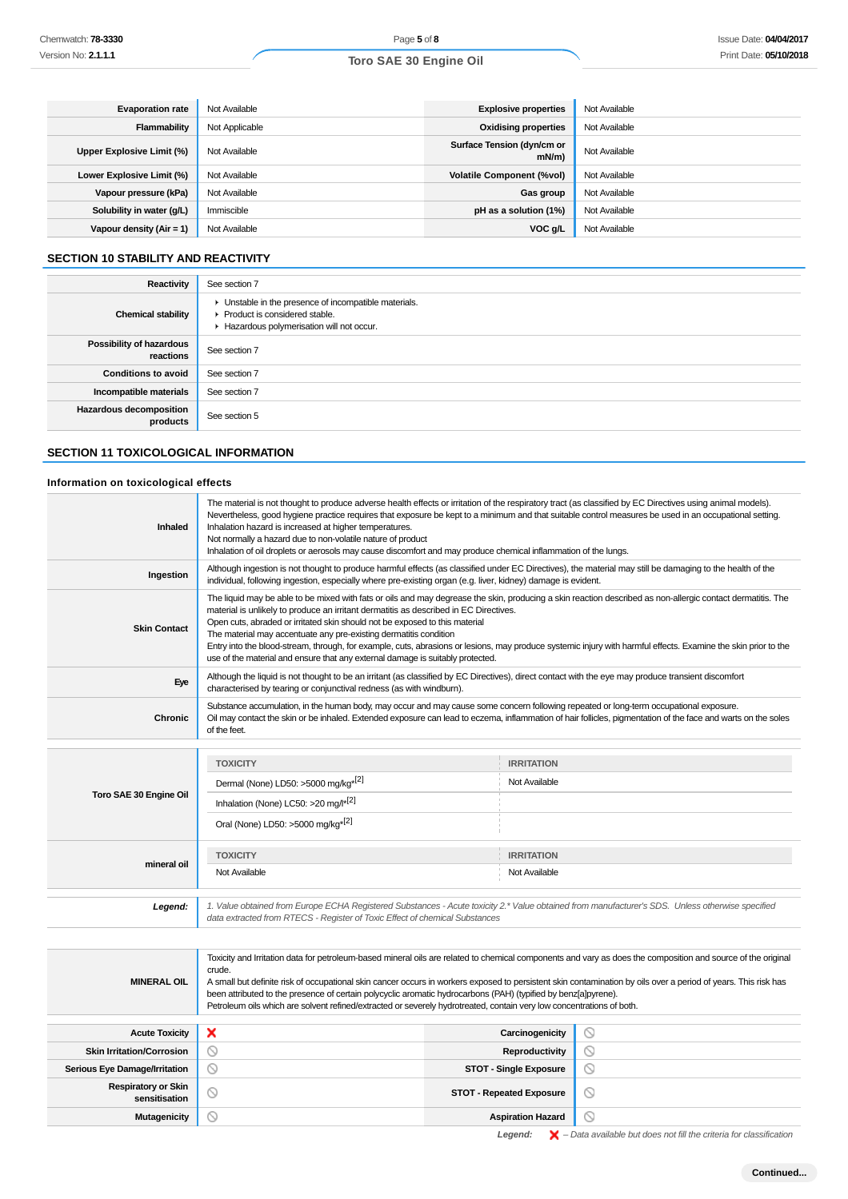| <b>Evaporation rate</b>    | Not Available  | <b>Explosive properties</b>            | Not Available |
|----------------------------|----------------|----------------------------------------|---------------|
| Flammability               | Not Applicable | <b>Oxidising properties</b>            | Not Available |
| Upper Explosive Limit (%)  | Not Available  | Surface Tension (dyn/cm or<br>$mN/m$ ) | Not Available |
| Lower Explosive Limit (%)  | Not Available  | <b>Volatile Component (%vol)</b>       | Not Available |
| Vapour pressure (kPa)      | Not Available  | Gas group                              | Not Available |
| Solubility in water (g/L)  | Immiscible     | pH as a solution (1%)                  | Not Available |
| Vapour density $(Air = 1)$ | Not Available  | VOC g/L                                | Not Available |

## **SECTION 10 STABILITY AND REACTIVITY**

| Reactivity                                 | See section 7                                                                                                                        |
|--------------------------------------------|--------------------------------------------------------------------------------------------------------------------------------------|
| <b>Chemical stability</b>                  | • Unstable in the presence of incompatible materials.<br>▶ Product is considered stable.<br>Hazardous polymerisation will not occur. |
| Possibility of hazardous<br>reactions      | See section 7                                                                                                                        |
| <b>Conditions to avoid</b>                 | See section 7                                                                                                                        |
| Incompatible materials                     | See section 7                                                                                                                        |
| <b>Hazardous decomposition</b><br>products | See section 5                                                                                                                        |

## **SECTION 11 TOXICOLOGICAL INFORMATION**

### **Information on toxicological effects**

| <b>Inhaled</b>                              | The material is not thought to produce adverse health effects or irritation of the respiratory tract (as classified by EC Directives using animal models).<br>Nevertheless, good hygiene practice requires that exposure be kept to a minimum and that suitable control measures be used in an occupational setting.<br>Inhalation hazard is increased at higher temperatures.<br>Not normally a hazard due to non-volatile nature of product<br>Inhalation of oil droplets or aerosols may cause discomfort and may produce chemical inflammation of the lungs.                                                                                             |                          |                |
|---------------------------------------------|--------------------------------------------------------------------------------------------------------------------------------------------------------------------------------------------------------------------------------------------------------------------------------------------------------------------------------------------------------------------------------------------------------------------------------------------------------------------------------------------------------------------------------------------------------------------------------------------------------------------------------------------------------------|--------------------------|----------------|
| Ingestion                                   | Although ingestion is not thought to produce harmful effects (as classified under EC Directives), the material may still be damaging to the health of the<br>individual, following ingestion, especially where pre-existing organ (e.g. liver, kidney) damage is evident.                                                                                                                                                                                                                                                                                                                                                                                    |                          |                |
| <b>Skin Contact</b>                         | The liquid may be able to be mixed with fats or oils and may degrease the skin, producing a skin reaction described as non-allergic contact dermatitis. The<br>material is unlikely to produce an irritant dermatitis as described in EC Directives.<br>Open cuts, abraded or irritated skin should not be exposed to this material<br>The material may accentuate any pre-existing dermatitis condition<br>Entry into the blood-stream, through, for example, cuts, abrasions or lesions, may produce systemic injury with harmful effects. Examine the skin prior to the<br>use of the material and ensure that any external damage is suitably protected. |                          |                |
| Eye                                         | Although the liquid is not thought to be an irritant (as classified by EC Directives), direct contact with the eye may produce transient discomfort<br>characterised by tearing or conjunctival redness (as with windburn).                                                                                                                                                                                                                                                                                                                                                                                                                                  |                          |                |
| <b>Chronic</b>                              | Substance accumulation, in the human body, may occur and may cause some concern following repeated or long-term occupational exposure.<br>Oil may contact the skin or be inhaled. Extended exposure can lead to eczema, inflammation of hair follicles, pigmentation of the face and warts on the soles<br>of the feet.                                                                                                                                                                                                                                                                                                                                      |                          |                |
|                                             |                                                                                                                                                                                                                                                                                                                                                                                                                                                                                                                                                                                                                                                              |                          |                |
|                                             | <b>TOXICITY</b>                                                                                                                                                                                                                                                                                                                                                                                                                                                                                                                                                                                                                                              | <b>IRRITATION</b>        |                |
| Toro SAE 30 Engine Oil                      | Dermal (None) LD50: >5000 mg/kg <sup>*[2]</sup>                                                                                                                                                                                                                                                                                                                                                                                                                                                                                                                                                                                                              | Not Available            |                |
|                                             | Inhalation (None) LC50: >20 mg/l*[2]                                                                                                                                                                                                                                                                                                                                                                                                                                                                                                                                                                                                                         |                          |                |
|                                             | Oral (None) LD50: >5000 mg/kg <sup>*[2]</sup>                                                                                                                                                                                                                                                                                                                                                                                                                                                                                                                                                                                                                |                          |                |
|                                             | <b>TOXICITY</b>                                                                                                                                                                                                                                                                                                                                                                                                                                                                                                                                                                                                                                              | <b>IRRITATION</b>        |                |
| mineral oil                                 | Not Available                                                                                                                                                                                                                                                                                                                                                                                                                                                                                                                                                                                                                                                | Not Available            |                |
| Legend:                                     | 1. Value obtained from Europe ECHA Registered Substances - Acute toxicity 2.* Value obtained from manufacturer's SDS. Unless otherwise specified<br>data extracted from RTECS - Register of Toxic Effect of chemical Substances                                                                                                                                                                                                                                                                                                                                                                                                                              |                          |                |
|                                             |                                                                                                                                                                                                                                                                                                                                                                                                                                                                                                                                                                                                                                                              |                          |                |
| <b>MINERAL OIL</b>                          | Toxicity and Irritation data for petroleum-based mineral oils are related to chemical components and vary as does the composition and source of the original<br>crude.<br>A small but definite risk of occupational skin cancer occurs in workers exposed to persistent skin contamination by oils over a period of years. This risk has<br>been attributed to the presence of certain polycyclic aromatic hydrocarbons (PAH) (typified by benz[a]pyrene).<br>Petroleum oils which are solvent refined/extracted or severely hydrotreated, contain very low concentrations of both.                                                                          |                          |                |
| <b>Acute Toxicity</b>                       | $\circledcirc$<br>×<br>Carcinogenicity                                                                                                                                                                                                                                                                                                                                                                                                                                                                                                                                                                                                                       |                          |                |
| <b>Skin Irritation/Corrosion</b>            | $\circ$                                                                                                                                                                                                                                                                                                                                                                                                                                                                                                                                                                                                                                                      | Reproductivity           | $\circ$        |
| Serious Eye Damage/Irritation               | $\circ$<br>⊚<br><b>STOT - Single Exposure</b>                                                                                                                                                                                                                                                                                                                                                                                                                                                                                                                                                                                                                |                          |                |
| <b>Respiratory or Skin</b><br>sensitisation | $\circ$<br>$\circledcirc$<br><b>STOT - Repeated Exposure</b>                                                                                                                                                                                                                                                                                                                                                                                                                                                                                                                                                                                                 |                          |                |
| <b>Mutagenicity</b>                         | ⊚                                                                                                                                                                                                                                                                                                                                                                                                                                                                                                                                                                                                                                                            | <b>Aspiration Hazard</b> | $\circledcirc$ |

Legend:  $\mathsf{X}$  – Data available but does not fill the criteria for classification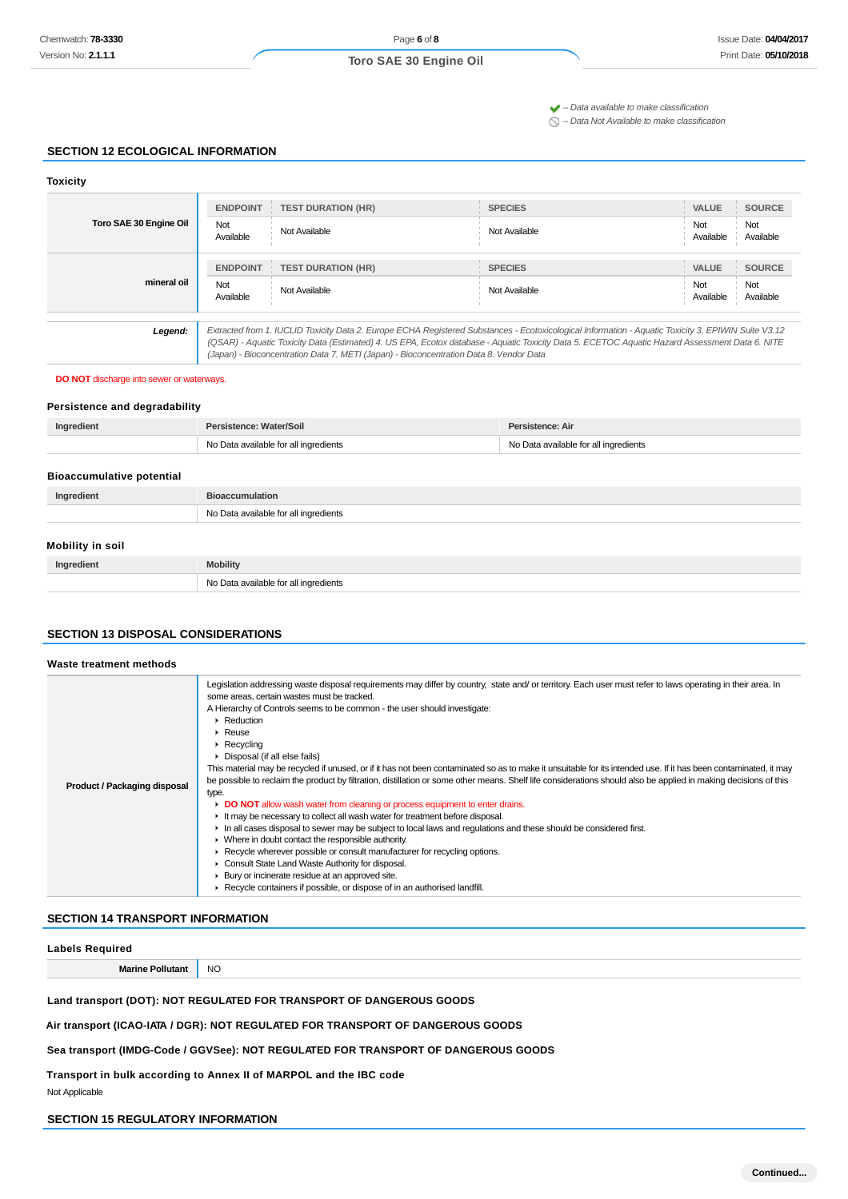$\blacktriangleright$  – Data available to make classification

 $\bigcirc$  – Data Not Available to make classification

### **SECTION 12 ECOLOGICAL INFORMATION**

### **Toxicity**

| Toro SAE 30 Engine Oil | <b>ENDPOINT</b>                                                                                                                                                                                                                          | <b>TEST DURATION (HR)</b>                                                                                                                           | <b>SPECIES</b> | VALUE                   | <b>SOURCE</b> |
|------------------------|------------------------------------------------------------------------------------------------------------------------------------------------------------------------------------------------------------------------------------------|-----------------------------------------------------------------------------------------------------------------------------------------------------|----------------|-------------------------|---------------|
|                        | Not<br>Available                                                                                                                                                                                                                         | Not Available                                                                                                                                       | Not Available  | Not<br>Not<br>Available | Available     |
|                        | <b>ENDPOINT</b>                                                                                                                                                                                                                          | <b>TEST DURATION (HR)</b>                                                                                                                           | <b>SPECIES</b> | <b>VALUE</b>            | <b>SOURCE</b> |
| mineral oil            | Not<br>Available                                                                                                                                                                                                                         | Not Available                                                                                                                                       | Not Available  | Not<br>Not<br>Available | Available     |
| Legend:                |                                                                                                                                                                                                                                          | Extracted from 1. IUCLID Toxicity Data 2. Europe ECHA Registered Substances - Ecotoxicological Information - Aquatic Toxicity 3. EPIWIN Suite V3.12 |                |                         |               |
|                        | (QSAR) - Aquatic Toxicity Data (Estimated) 4. US EPA, Ecotox database - Aquatic Toxicity Data 5. ECETOC Aquatic Hazard Assessment Data 6. NITE<br>(Japan) - Bioconcentration Data 7. METI (Japan) - Bioconcentration Data 8. Vendor Data |                                                                                                                                                     |                |                         |               |

#### **DO NOT** discharge into sewer or waterways.

### **Persistence and degradability**

| Ingredient | Persistence: Water/Soil               | Persistence: Air                      |  |
|------------|---------------------------------------|---------------------------------------|--|
|            | No Data available for all ingredients | No Data available for all ingredients |  |

### **Bioaccumulative potential**

| Ingredient       | <b>Bioaccumulation</b>                |
|------------------|---------------------------------------|
|                  | No Data available for all ingredients |
| Mobility in soil |                                       |
| Ingredient       | <b>Mobility</b>                       |
|                  | No Data available for all ingredients |

### **SECTION 13 DISPOSAL CONSIDERATIONS**

#### **Waste treatment methods Product / Packaging disposal** Legislation addressing waste disposal requirements may differ by country, state and/ or territory. Each user must refer to laws operating in their area. In some areas, certain wastes must be tracked. A Hierarchy of Controls seems to be common - the user should investigate: **Reduction** Reuse Recycling Disposal (if all else fails) This material may be recycled if unused, or if it has not been contaminated so as to make it unsuitable for its intended use. If it has been contaminated, it may be possible to reclaim the product by filtration, distillation or some other means. Shelf life considerations should also be applied in making decisions of this type. **DO NOT** allow wash water from cleaning or process equipment to enter drains. It may be necessary to collect all wash water for treatment before disposal. In all cases disposal to sewer may be subject to local laws and regulations and these should be considered first. Where in doubt contact the responsible authority. Recycle wherever possible or consult manufacturer for recycling options. ▶ Consult State Land Waste Authority for disposal. **Bury or incinerate residue at an approved site.** Recycle containers if possible, or dispose of in an authorised landfill.

### **SECTION 14 TRANSPORT INFORMATION**

| <b>Labels Required</b>                                               |           |
|----------------------------------------------------------------------|-----------|
| <b>Marine Pollutant</b>                                              | <b>NO</b> |
| Land transport (DOT): NOT REGULATED FOR TRANSPORT OF DANGEROUS GOODS |           |

**Air transport (ICAO-IATA / DGR): NOT REGULATED FOR TRANSPORT OF DANGEROUS GOODS**

**Sea transport (IMDG-Code / GGVSee): NOT REGULATED FOR TRANSPORT OF DANGEROUS GOODS**

**Transport in bulk according to Annex II of MARPOL and the IBC code**

Not Applicable

### **SECTION 15 REGULATORY INFORMATION**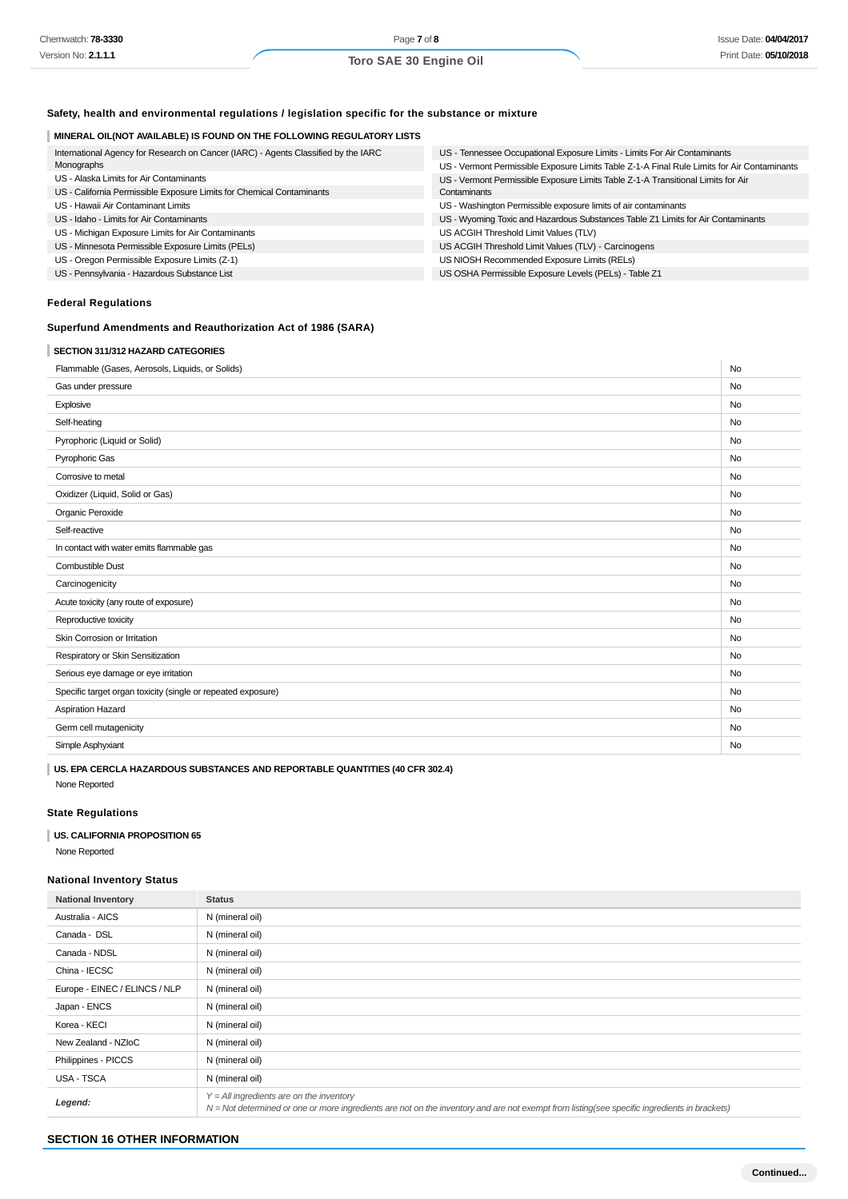## **Safety, health and environmental regulations / legislation specific for the substance or mixture**

## **MINERAL OIL(NOT AVAILABLE) IS FOUND ON THE FOLLOWING REGULATORY LISTS**

| International Agency for Research on Cancer (IARC) - Agents Classified by the IARC | US - Tennessee Occupational Exposure Limits - Limits For Air Contaminants                   |  |
|------------------------------------------------------------------------------------|---------------------------------------------------------------------------------------------|--|
| Monographs                                                                         | US - Vermont Permissible Exposure Limits Table Z-1-A Final Rule Limits for Air Contaminants |  |
| US - Alaska Limits for Air Contaminants                                            | US - Vermont Permissible Exposure Limits Table Z-1-A Transitional Limits for Air            |  |
| US - California Permissible Exposure Limits for Chemical Contaminants              | Contaminants                                                                                |  |
| US - Hawaii Air Contaminant Limits                                                 | US - Washington Permissible exposure limits of air contaminants                             |  |
| US - Idaho - Limits for Air Contaminants                                           | US - Wyoming Toxic and Hazardous Substances Table Z1 Limits for Air Contaminants            |  |
| US - Michigan Exposure Limits for Air Contaminants                                 | US ACGIH Threshold Limit Values (TLV)                                                       |  |
| US - Minnesota Permissible Exposure Limits (PELs)                                  | US ACGIH Threshold Limit Values (TLV) - Carcinogens                                         |  |
| US - Oregon Permissible Exposure Limits (Z-1)                                      | US NIOSH Recommended Exposure Limits (RELs)                                                 |  |
| US - Pennsylvania - Hazardous Substance List                                       | US OSHA Permissible Exposure Levels (PELs) - Table Z1                                       |  |

## **Federal Regulations**

## **Superfund Amendments and Reauthorization Act of 1986 (SARA)**

## **SECTION 311/312 HAZARD CATEGORIES**

| Flammable (Gases, Aerosols, Liquids, or Solids)              | No        |
|--------------------------------------------------------------|-----------|
| Gas under pressure                                           | <b>No</b> |
| Explosive                                                    | <b>No</b> |
| Self-heating                                                 | No        |
| Pyrophoric (Liquid or Solid)                                 | No        |
| Pyrophoric Gas                                               | <b>No</b> |
| Corrosive to metal                                           | <b>No</b> |
| Oxidizer (Liquid, Solid or Gas)                              | <b>No</b> |
| Organic Peroxide                                             | No        |
| Self-reactive                                                | No        |
| In contact with water emits flammable gas                    | No        |
| <b>Combustible Dust</b>                                      | <b>No</b> |
| Carcinogenicity                                              | <b>No</b> |
| Acute toxicity (any route of exposure)                       | No        |
| Reproductive toxicity                                        | No        |
| Skin Corrosion or Irritation                                 | No        |
| Respiratory or Skin Sensitization                            | <b>No</b> |
| Serious eye damage or eye irritation                         | <b>No</b> |
| Specific target organ toxicity (single or repeated exposure) | <b>No</b> |
| Aspiration Hazard                                            | <b>No</b> |
| Germ cell mutagenicity                                       | <b>No</b> |
| Simple Asphyxiant                                            | <b>No</b> |
|                                                              |           |

**US. EPA CERCLA HAZARDOUS SUBSTANCES AND REPORTABLE QUANTITIES (40 CFR 302.4)** None Reported

## **State Regulations**

### **US. CALIFORNIA PROPOSITION 65**

None Reported

## **National Inventory Status**

| <b>National Inventory</b>     | <b>Status</b>                                                                                                                                                                                |
|-------------------------------|----------------------------------------------------------------------------------------------------------------------------------------------------------------------------------------------|
| Australia - AICS              | N (mineral oil)                                                                                                                                                                              |
| Canada - DSL                  | N (mineral oil)                                                                                                                                                                              |
| Canada - NDSL                 | N (mineral oil)                                                                                                                                                                              |
| China - IECSC                 | N (mineral oil)                                                                                                                                                                              |
| Europe - EINEC / ELINCS / NLP | N (mineral oil)                                                                                                                                                                              |
| Japan - ENCS                  | N (mineral oil)                                                                                                                                                                              |
| Korea - KECI                  | N (mineral oil)                                                                                                                                                                              |
| New Zealand - NZIoC           | N (mineral oil)                                                                                                                                                                              |
| Philippines - PICCS           | N (mineral oil)                                                                                                                                                                              |
| USA - TSCA                    | N (mineral oil)                                                                                                                                                                              |
| Legend:                       | $Y = All$ ingredients are on the inventory<br>$N = Not$ determined or one or more ingredients are not on the inventory and are not exempt from listing(see specific ingredients in brackets) |

#### **SECTION 16 OTHER INFORMATION**